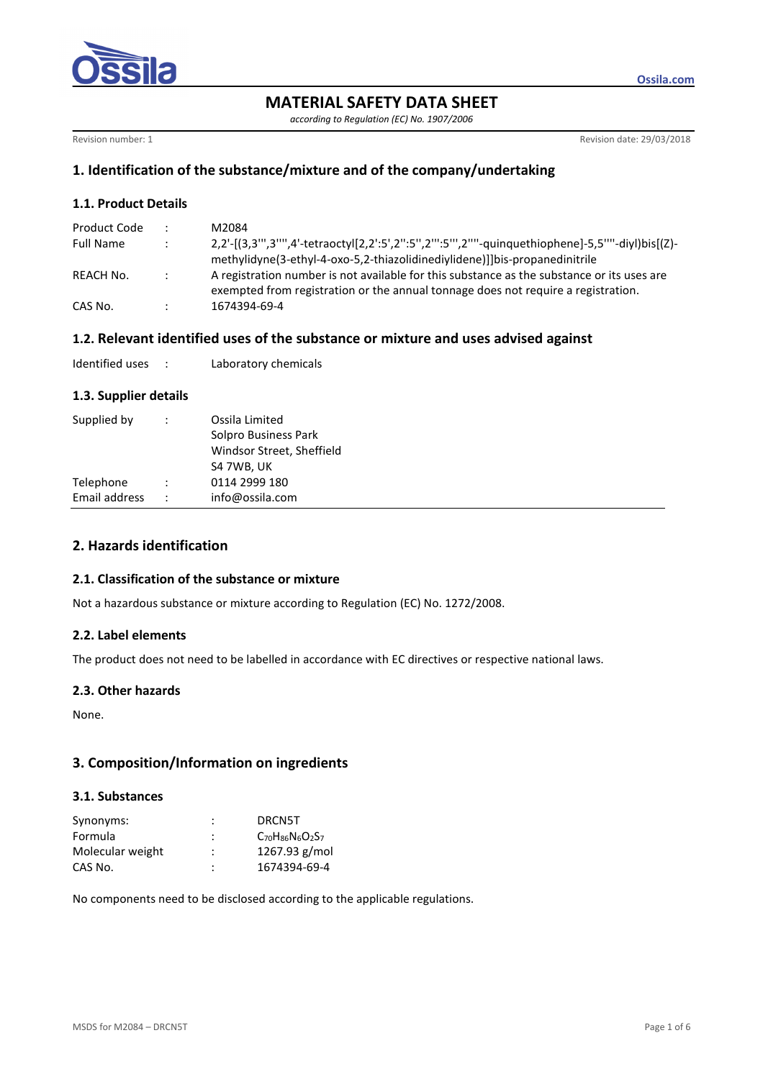

*according to Regulation (EC) No. 1907/2006* 

Revision number: 1 **Revision date: 29/03/2018** 

**Ossila.com**

## **1. Identification of the substance/mixture and of the company/undertaking**

## **1.1. Product Details**

| Product Code     |               | M2084                                                                                                                                                                              |
|------------------|---------------|------------------------------------------------------------------------------------------------------------------------------------------------------------------------------------|
| <b>Full Name</b> |               | 2,2'-[(3,3"',3''',4'-tetraoctyl[2,2':5',2":5'',2''':5'',2'''-guinquethiophene]-5,5''''-diyl)bis[(Z)-<br>methylidyne(3-ethyl-4-oxo-5,2-thiazolidinediylidene)]]bis-propanedinitrile |
| REACH No.        | $\mathcal{L}$ | A registration number is not available for this substance as the substance or its uses are<br>exempted from registration or the annual tonnage does not require a registration.    |
| CAS No.          |               | 1674394-69-4                                                                                                                                                                       |

## **1.2. Relevant identified uses of the substance or mixture and uses advised against**

| Identified uses |  | Laboratory chemicals |
|-----------------|--|----------------------|
|-----------------|--|----------------------|

#### **1.3. Supplier details**

| Supplied by   | $\ddot{\phantom{0}}$ | Ossila Limited<br>Solpro Business Park<br>Windsor Street, Sheffield<br>S4 7WB, UK |
|---------------|----------------------|-----------------------------------------------------------------------------------|
| Telephone     |                      | 0114 2999 180                                                                     |
| Email address | $\ddot{\phantom{0}}$ | info@ossila.com                                                                   |

# **2. Hazards identification**

#### **2.1. Classification of the substance or mixture**

Not a hazardous substance or mixture according to Regulation (EC) No. 1272/2008.

#### **2.2. Label elements**

The product does not need to be labelled in accordance with EC directives or respective national laws.

#### **2.3. Other hazards**

None.

## **3. Composition/Information on ingredients**

## **3.1. Substances**

| Synonyms:        | ٠      | DRCN5T                  |
|------------------|--------|-------------------------|
| Formula          |        | $C_{70}H_{86}N_6O_2S_7$ |
| Molecular weight | ٠<br>٠ | $1267.93$ g/mol         |
| CAS No.          | ٠      | 1674394-69-4            |

No components need to be disclosed according to the applicable regulations.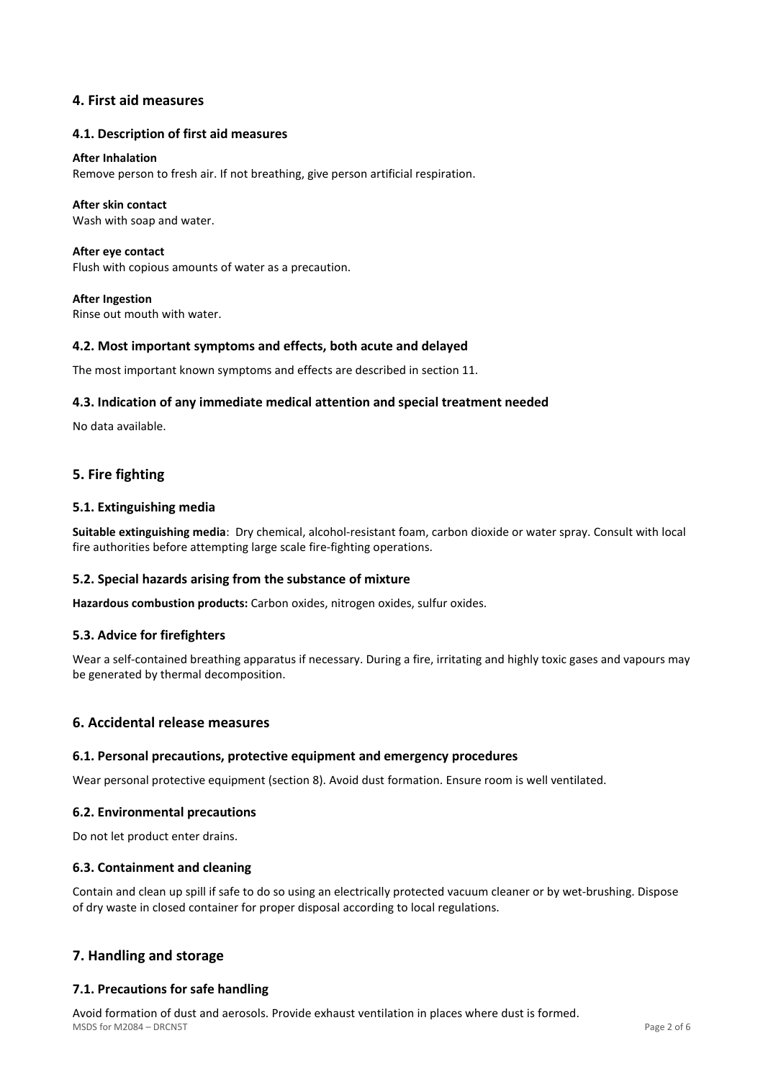## **4. First aid measures**

## **4.1. Description of first aid measures**

#### **After Inhalation**

Remove person to fresh air. If not breathing, give person artificial respiration.

## **After skin contact**

Wash with soap and water.

**After eye contact**  Flush with copious amounts of water as a precaution.

**After Ingestion**  Rinse out mouth with water.

## **4.2. Most important symptoms and effects, both acute and delayed**

The most important known symptoms and effects are described in section 11.

## **4.3. Indication of any immediate medical attention and special treatment needed**

No data available.

## **5. Fire fighting**

## **5.1. Extinguishing media**

**Suitable extinguishing media**: Dry chemical, alcohol-resistant foam, carbon dioxide or water spray. Consult with local fire authorities before attempting large scale fire-fighting operations.

#### **5.2. Special hazards arising from the substance of mixture**

**Hazardous combustion products:** Carbon oxides, nitrogen oxides, sulfur oxides.

#### **5.3. Advice for firefighters**

Wear a self-contained breathing apparatus if necessary. During a fire, irritating and highly toxic gases and vapours may be generated by thermal decomposition.

## **6. Accidental release measures**

#### **6.1. Personal precautions, protective equipment and emergency procedures**

Wear personal protective equipment (section 8). Avoid dust formation. Ensure room is well ventilated.

#### **6.2. Environmental precautions**

Do not let product enter drains.

#### **6.3. Containment and cleaning**

Contain and clean up spill if safe to do so using an electrically protected vacuum cleaner or by wet-brushing. Dispose of dry waste in closed container for proper disposal according to local regulations.

# **7. Handling and storage**

## **7.1. Precautions for safe handling**

MSDS for M2084 – DRCN5T Page 2 of 6 Avoid formation of dust and aerosols. Provide exhaust ventilation in places where dust is formed.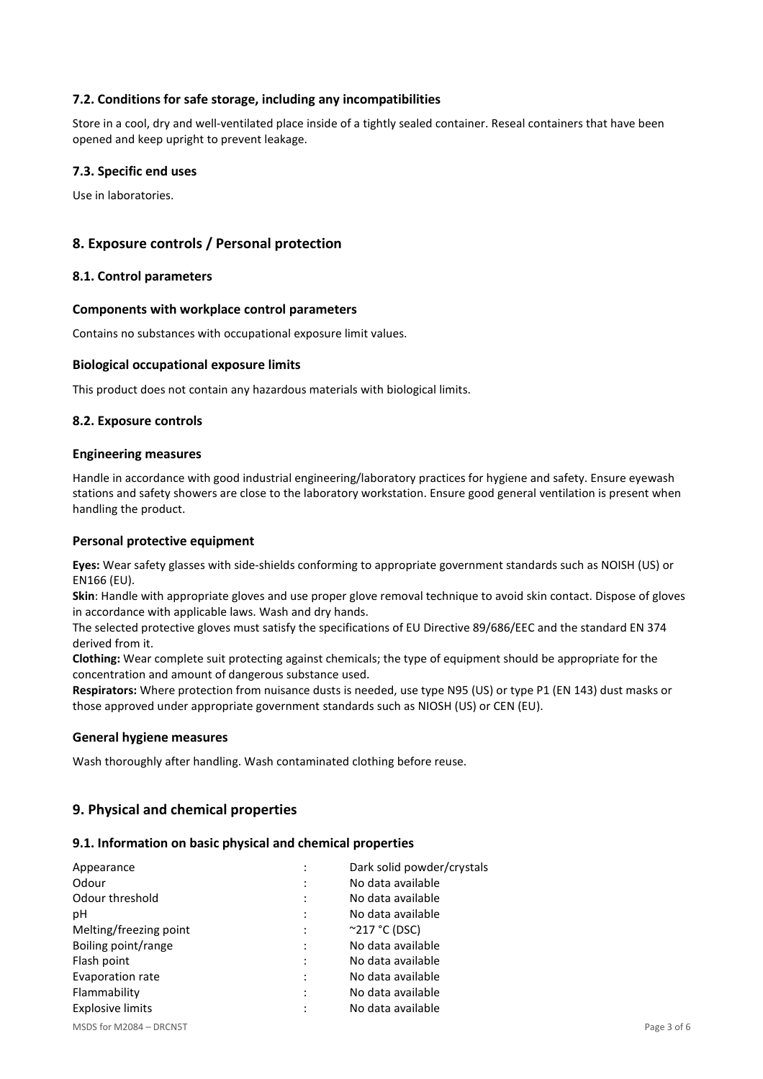## **7.2. Conditions for safe storage, including any incompatibilities**

Store in a cool, dry and well-ventilated place inside of a tightly sealed container. Reseal containers that have been opened and keep upright to prevent leakage.

## **7.3. Specific end uses**

Use in laboratories.

## **8. Exposure controls / Personal protection**

#### **8.1. Control parameters**

#### **Components with workplace control parameters**

Contains no substances with occupational exposure limit values.

#### **Biological occupational exposure limits**

This product does not contain any hazardous materials with biological limits.

#### **8.2. Exposure controls**

#### **Engineering measures**

Handle in accordance with good industrial engineering/laboratory practices for hygiene and safety. Ensure eyewash stations and safety showers are close to the laboratory workstation. Ensure good general ventilation is present when handling the product.

#### **Personal protective equipment**

**Eyes:** Wear safety glasses with side-shields conforming to appropriate government standards such as NOISH (US) or EN166 (EU).

**Skin**: Handle with appropriate gloves and use proper glove removal technique to avoid skin contact. Dispose of gloves in accordance with applicable laws. Wash and dry hands.

The selected protective gloves must satisfy the specifications of EU Directive 89/686/EEC and the standard EN 374 derived from it.

**Clothing:** Wear complete suit protecting against chemicals; the type of equipment should be appropriate for the concentration and amount of dangerous substance used.

**Respirators:** Where protection from nuisance dusts is needed, use type N95 (US) or type P1 (EN 143) dust masks or those approved under appropriate government standards such as NIOSH (US) or CEN (EU).

#### **General hygiene measures**

Wash thoroughly after handling. Wash contaminated clothing before reuse.

## **9. Physical and chemical properties**

#### **9.1. Information on basic physical and chemical properties**

| Appearance              | Dark solid powder/crystals |
|-------------------------|----------------------------|
| Odour                   | No data available          |
| Odour threshold         | No data available          |
| рH                      | No data available          |
| Melting/freezing point  | $^{\circ}$ 217 °C (DSC)    |
| Boiling point/range     | No data available          |
| Flash point             | No data available          |
| Evaporation rate        | No data available          |
| Flammability            | No data available          |
| <b>Explosive limits</b> | No data available          |

MSDS for M2084 – DRCN5T Page 3 of 6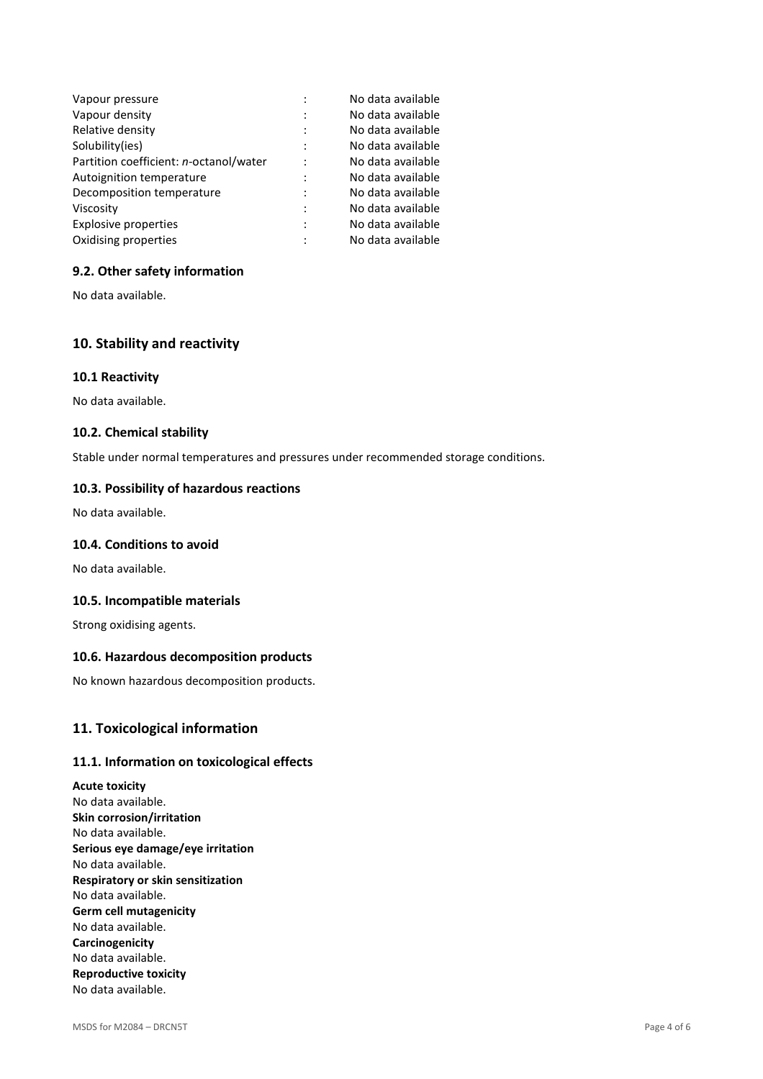| Vapour pressure                        |   | No data available |
|----------------------------------------|---|-------------------|
| Vapour density                         |   | No data available |
| Relative density                       |   | No data available |
| Solubility(ies)                        |   | No data available |
| Partition coefficient: n-octanol/water |   | No data available |
| Autoignition temperature               |   | No data available |
| Decomposition temperature              | ٠ | No data available |
| Viscosity                              |   | No data available |
| <b>Explosive properties</b>            |   | No data available |
| Oxidising properties                   |   | No data available |

## **9.2. Other safety information**

No data available.

# **10. Stability and reactivity**

#### **10.1 Reactivity**

No data available.

#### **10.2. Chemical stability**

Stable under normal temperatures and pressures under recommended storage conditions.

#### **10.3. Possibility of hazardous reactions**

No data available.

### **10.4. Conditions to avoid**

No data available.

#### **10.5. Incompatible materials**

Strong oxidising agents.

## **10.6. Hazardous decomposition products**

No known hazardous decomposition products.

### **11. Toxicological information**

#### **11.1. Information on toxicological effects**

**Acute toxicity**  No data available. **Skin corrosion/irritation**  No data available. **Serious eye damage/eye irritation**  No data available. **Respiratory or skin sensitization**  No data available. **Germ cell mutagenicity**  No data available. **Carcinogenicity**  No data available. **Reproductive toxicity**  No data available.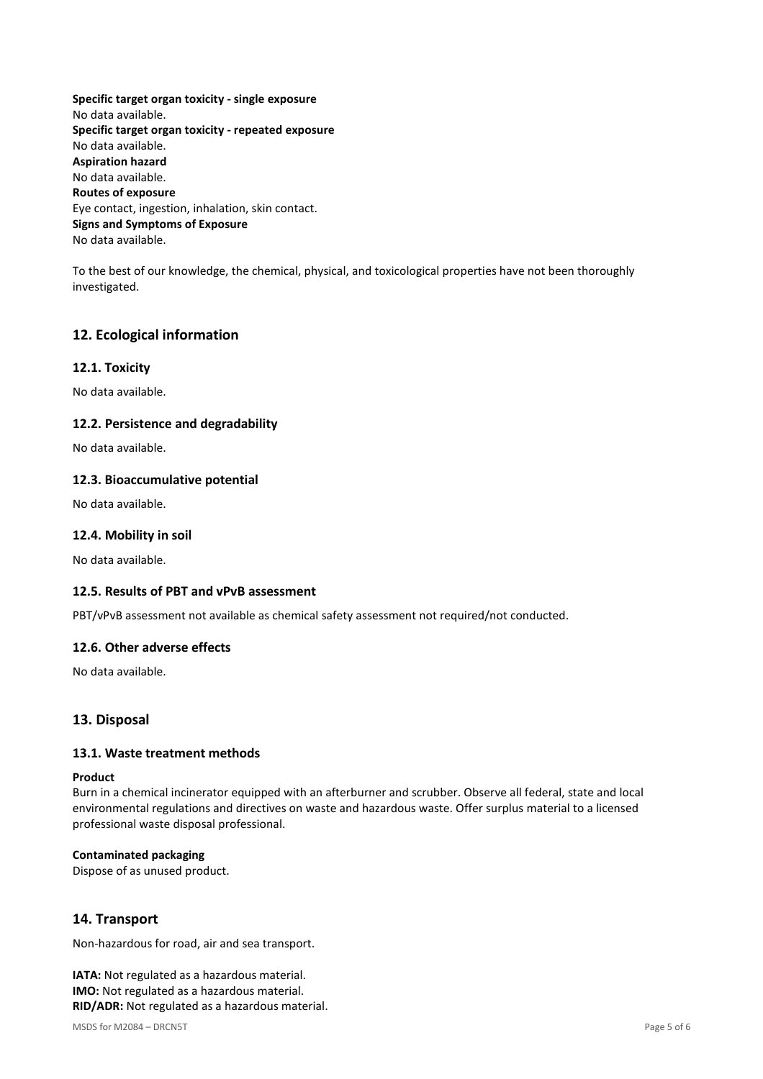**Specific target organ toxicity - single exposure**  No data available. **Specific target organ toxicity - repeated exposure**  No data available. **Aspiration hazard**  No data available. **Routes of exposure**  Eye contact, ingestion, inhalation, skin contact. **Signs and Symptoms of Exposure**  No data available.

To the best of our knowledge, the chemical, physical, and toxicological properties have not been thoroughly investigated.

## **12. Ecological information**

## **12.1. Toxicity**

No data available.

#### **12.2. Persistence and degradability**

No data available.

#### **12.3. Bioaccumulative potential**

No data available.

#### **12.4. Mobility in soil**

No data available.

### **12.5. Results of PBT and vPvB assessment**

PBT/vPvB assessment not available as chemical safety assessment not required/not conducted.

#### **12.6. Other adverse effects**

No data available.

#### **13. Disposal**

### **13.1. Waste treatment methods**

#### **Product**

Burn in a chemical incinerator equipped with an afterburner and scrubber. Observe all federal, state and local environmental regulations and directives on waste and hazardous waste. Offer surplus material to a licensed professional waste disposal professional.

#### **Contaminated packaging**

Dispose of as unused product.

## **14. Transport**

Non-hazardous for road, air and sea transport.

**IATA:** Not regulated as a hazardous material. **IMO:** Not regulated as a hazardous material. **RID/ADR:** Not regulated as a hazardous material.